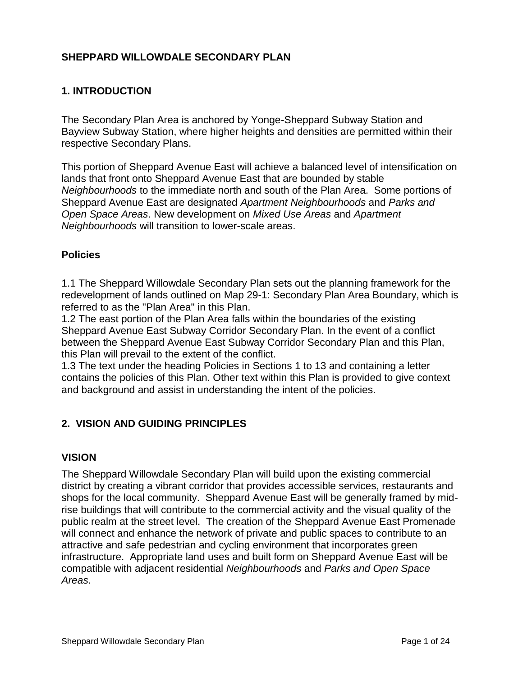### **SHEPPARD WILLOWDALE SECONDARY PLAN**

### **1. INTRODUCTION**

The Secondary Plan Area is anchored by Yonge-Sheppard Subway Station and Bayview Subway Station, where higher heights and densities are permitted within their respective Secondary Plans.

This portion of Sheppard Avenue East will achieve a balanced level of intensification on lands that front onto Sheppard Avenue East that are bounded by stable *Neighbourhoods* to the immediate north and south of the Plan Area. Some portions of Sheppard Avenue East are designated *Apartment Neighbourhoods* and *Parks and Open Space Areas*. New development on *Mixed Use Areas* and *Apartment Neighbourhoods* will transition to lower-scale areas.

#### **Policies**

1.1 The Sheppard Willowdale Secondary Plan sets out the planning framework for the redevelopment of lands outlined on Map 29-1: Secondary Plan Area Boundary, which is referred to as the "Plan Area" in this Plan.

1.2 The east portion of the Plan Area falls within the boundaries of the existing Sheppard Avenue East Subway Corridor Secondary Plan. In the event of a conflict between the Sheppard Avenue East Subway Corridor Secondary Plan and this Plan, this Plan will prevail to the extent of the conflict.

1.3 The text under the heading Policies in Sections 1 to 13 and containing a letter contains the policies of this Plan. Other text within this Plan is provided to give context and background and assist in understanding the intent of the policies.

#### **2. VISION AND GUIDING PRINCIPLES**

#### **VISION**

The Sheppard Willowdale Secondary Plan will build upon the existing commercial district by creating a vibrant corridor that provides accessible services, restaurants and shops for the local community. Sheppard Avenue East will be generally framed by midrise buildings that will contribute to the commercial activity and the visual quality of the public realm at the street level. The creation of the Sheppard Avenue East Promenade will connect and enhance the network of private and public spaces to contribute to an attractive and safe pedestrian and cycling environment that incorporates green infrastructure. Appropriate land uses and built form on Sheppard Avenue East will be compatible with adjacent residential *Neighbourhoods* and *Parks and Open Space Areas*.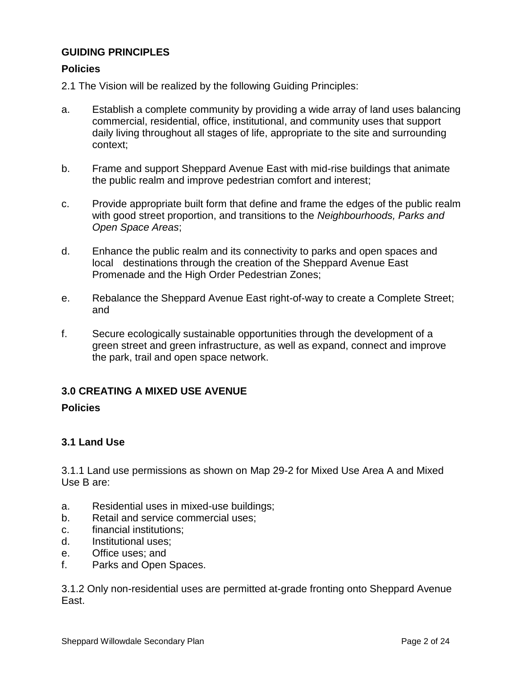### **GUIDING PRINCIPLES**

#### **Policies**

2.1 The Vision will be realized by the following Guiding Principles:

- a. Establish a complete community by providing a wide array of land uses balancing commercial, residential, office, institutional, and community uses that support daily living throughout all stages of life, appropriate to the site and surrounding context;
- b. Frame and support Sheppard Avenue East with mid-rise buildings that animate the public realm and improve pedestrian comfort and interest;
- c. Provide appropriate built form that define and frame the edges of the public realm with good street proportion, and transitions to the *Neighbourhoods, Parks and Open Space Areas*;
- d. Enhance the public realm and its connectivity to parks and open spaces and local destinations through the creation of the Sheppard Avenue East Promenade and the High Order Pedestrian Zones;
- e. Rebalance the Sheppard Avenue East right-of-way to create a Complete Street; and
- f. Secure ecologically sustainable opportunities through the development of a green street and green infrastructure, as well as expand, connect and improve the park, trail and open space network.

# **3.0 CREATING A MIXED USE AVENUE**

#### **Policies**

# **3.1 Land Use**

3.1.1 Land use permissions as shown on Map 29-2 for Mixed Use Area A and Mixed Use B are:

- a. Residential uses in mixed-use buildings;
- b. Retail and service commercial uses;
- c. financial institutions;
- d. Institutional uses;
- e. Office uses; and
- f. Parks and Open Spaces.

3.1.2 Only non-residential uses are permitted at-grade fronting onto Sheppard Avenue East.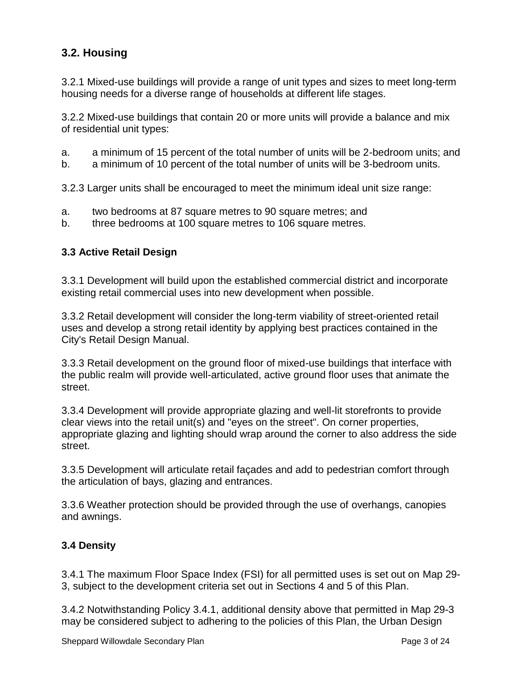# **3.2. Housing**

3.2.1 Mixed-use buildings will provide a range of unit types and sizes to meet long-term housing needs for a diverse range of households at different life stages.

3.2.2 Mixed-use buildings that contain 20 or more units will provide a balance and mix of residential unit types:

- a. a minimum of 15 percent of the total number of units will be 2-bedroom units; and
- b. a minimum of 10 percent of the total number of units will be 3-bedroom units.

3.2.3 Larger units shall be encouraged to meet the minimum ideal unit size range:

- a. two bedrooms at 87 square metres to 90 square metres; and
- b. three bedrooms at 100 square metres to 106 square metres.

#### **3.3 Active Retail Design**

3.3.1 Development will build upon the established commercial district and incorporate existing retail commercial uses into new development when possible.

3.3.2 Retail development will consider the long-term viability of street-oriented retail uses and develop a strong retail identity by applying best practices contained in the City's Retail Design Manual.

3.3.3 Retail development on the ground floor of mixed-use buildings that interface with the public realm will provide well-articulated, active ground floor uses that animate the street.

3.3.4 Development will provide appropriate glazing and well-lit storefronts to provide clear views into the retail unit(s) and "eyes on the street". On corner properties, appropriate glazing and lighting should wrap around the corner to also address the side street.

3.3.5 Development will articulate retail façades and add to pedestrian comfort through the articulation of bays, glazing and entrances.

3.3.6 Weather protection should be provided through the use of overhangs, canopies and awnings.

# **3.4 Density**

3.4.1 The maximum Floor Space Index (FSI) for all permitted uses is set out on Map 29- 3, subject to the development criteria set out in Sections 4 and 5 of this Plan.

3.4.2 Notwithstanding Policy 3.4.1, additional density above that permitted in Map 29-3 may be considered subject to adhering to the policies of this Plan, the Urban Design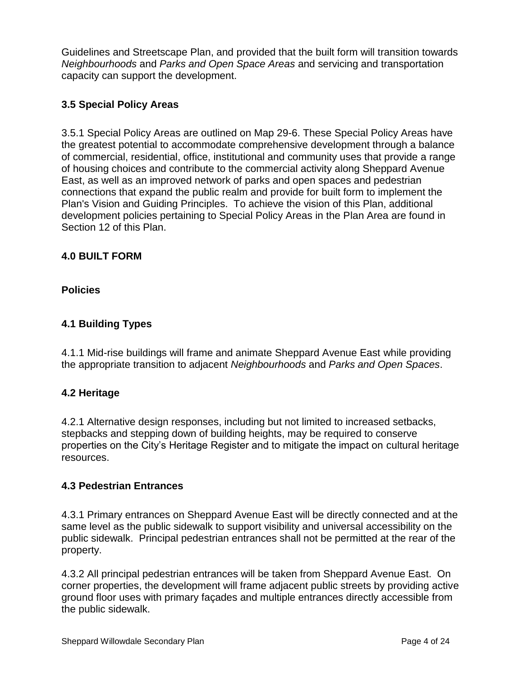Guidelines and Streetscape Plan, and provided that the built form will transition towards *Neighbourhoods* and *Parks and Open Space Areas* and servicing and transportation capacity can support the development.

### **3.5 Special Policy Areas**

3.5.1 Special Policy Areas are outlined on Map 29-6. These Special Policy Areas have the greatest potential to accommodate comprehensive development through a balance of commercial, residential, office, institutional and community uses that provide a range of housing choices and contribute to the commercial activity along Sheppard Avenue East, as well as an improved network of parks and open spaces and pedestrian connections that expand the public realm and provide for built form to implement the Plan's Vision and Guiding Principles. To achieve the vision of this Plan, additional development policies pertaining to Special Policy Areas in the Plan Area are found in Section 12 of this Plan.

### **4.0 BUILT FORM**

**Policies**

# **4.1 Building Types**

4.1.1 Mid-rise buildings will frame and animate Sheppard Avenue East while providing the appropriate transition to adjacent *Neighbourhoods* and *Parks and Open Spaces*.

#### **4.2 Heritage**

4.2.1 Alternative design responses, including but not limited to increased setbacks, stepbacks and stepping down of building heights, may be required to conserve properties on the City's Heritage Register and to mitigate the impact on cultural heritage resources.

#### **4.3 Pedestrian Entrances**

4.3.1 Primary entrances on Sheppard Avenue East will be directly connected and at the same level as the public sidewalk to support visibility and universal accessibility on the public sidewalk. Principal pedestrian entrances shall not be permitted at the rear of the property.

4.3.2 All principal pedestrian entrances will be taken from Sheppard Avenue East. On corner properties, the development will frame adjacent public streets by providing active ground floor uses with primary façades and multiple entrances directly accessible from the public sidewalk.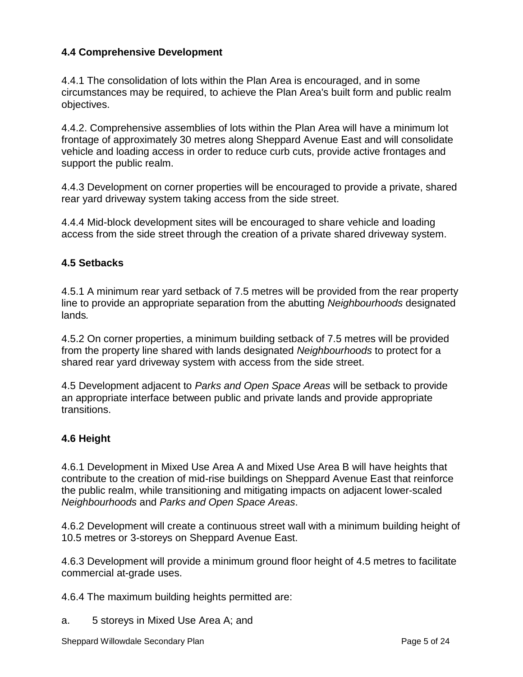### **4.4 Comprehensive Development**

4.4.1 The consolidation of lots within the Plan Area is encouraged, and in some circumstances may be required, to achieve the Plan Area's built form and public realm objectives.

4.4.2. Comprehensive assemblies of lots within the Plan Area will have a minimum lot frontage of approximately 30 metres along Sheppard Avenue East and will consolidate vehicle and loading access in order to reduce curb cuts, provide active frontages and support the public realm.

4.4.3 Development on corner properties will be encouraged to provide a private, shared rear yard driveway system taking access from the side street.

4.4.4 Mid-block development sites will be encouraged to share vehicle and loading access from the side street through the creation of a private shared driveway system.

#### **4.5 Setbacks**

4.5.1 A minimum rear yard setback of 7.5 metres will be provided from the rear property line to provide an appropriate separation from the abutting *Neighbourhoods* designated lands*.* 

4.5.2 On corner properties, a minimum building setback of 7.5 metres will be provided from the property line shared with lands designated *Neighbourhoods* to protect for a shared rear yard driveway system with access from the side street.

4.5 Development adjacent to *Parks and Open Space Areas* will be setback to provide an appropriate interface between public and private lands and provide appropriate transitions.

#### **4.6 Height**

4.6.1 Development in Mixed Use Area A and Mixed Use Area B will have heights that contribute to the creation of mid-rise buildings on Sheppard Avenue East that reinforce the public realm, while transitioning and mitigating impacts on adjacent lower-scaled *Neighbourhoods* and *Parks and Open Space Areas*.

4.6.2 Development will create a continuous street wall with a minimum building height of 10.5 metres or 3-storeys on Sheppard Avenue East.

4.6.3 Development will provide a minimum ground floor height of 4.5 metres to facilitate commercial at-grade uses.

4.6.4 The maximum building heights permitted are:

a. 5 storeys in Mixed Use Area A; and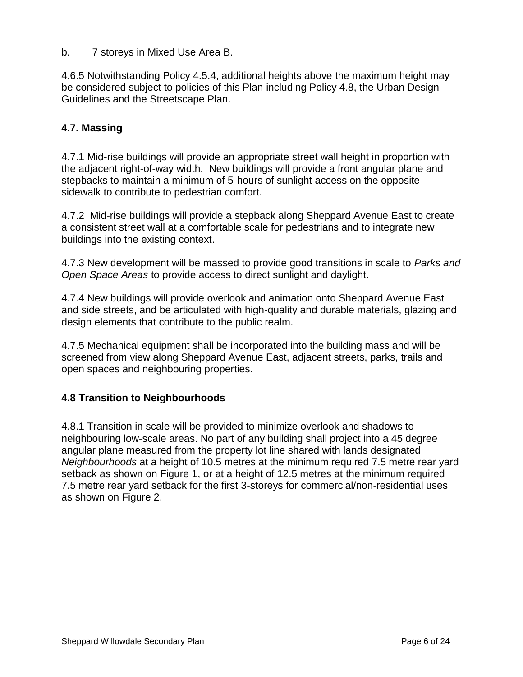b. 7 storeys in Mixed Use Area B.

4.6.5 Notwithstanding Policy 4.5.4, additional heights above the maximum height may be considered subject to policies of this Plan including Policy 4.8, the Urban Design Guidelines and the Streetscape Plan.

#### **4.7. Massing**

4.7.1 Mid-rise buildings will provide an appropriate street wall height in proportion with the adjacent right-of-way width. New buildings will provide a front angular plane and stepbacks to maintain a minimum of 5-hours of sunlight access on the opposite sidewalk to contribute to pedestrian comfort.

4.7.2 Mid-rise buildings will provide a stepback along Sheppard Avenue East to create a consistent street wall at a comfortable scale for pedestrians and to integrate new buildings into the existing context.

4.7.3 New development will be massed to provide good transitions in scale to *Parks and Open Space Areas* to provide access to direct sunlight and daylight.

4.7.4 New buildings will provide overlook and animation onto Sheppard Avenue East and side streets, and be articulated with high-quality and durable materials, glazing and design elements that contribute to the public realm.

4.7.5 Mechanical equipment shall be incorporated into the building mass and will be screened from view along Sheppard Avenue East, adjacent streets, parks, trails and open spaces and neighbouring properties.

#### **4.8 Transition to Neighbourhoods**

4.8.1 Transition in scale will be provided to minimize overlook and shadows to neighbouring low-scale areas. No part of any building shall project into a 45 degree angular plane measured from the property lot line shared with lands designated *Neighbourhoods* at a height of 10.5 metres at the minimum required 7.5 metre rear yard setback as shown on Figure 1, or at a height of 12.5 metres at the minimum required 7.5 metre rear yard setback for the first 3-storeys for commercial/non-residential uses as shown on Figure 2.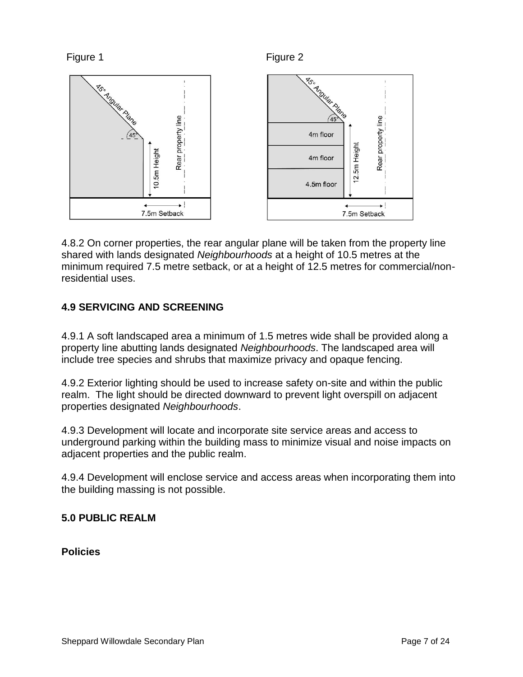



4.8.2 On corner properties, the rear angular plane will be taken from the property line shared with lands designated *Neighbourhoods* at a height of 10.5 metres at the minimum required 7.5 metre setback, or at a height of 12.5 metres for commercial/nonresidential uses.

# **4.9 SERVICING AND SCREENING**

4.9.1 A soft landscaped area a minimum of 1.5 metres wide shall be provided along a property line abutting lands designated *Neighbourhoods*. The landscaped area will include tree species and shrubs that maximize privacy and opaque fencing.

4.9.2 Exterior lighting should be used to increase safety on-site and within the public realm. The light should be directed downward to prevent light overspill on adjacent properties designated *Neighbourhoods*.

4.9.3 Development will locate and incorporate site service areas and access to underground parking within the building mass to minimize visual and noise impacts on adjacent properties and the public realm.

4.9.4 Development will enclose service and access areas when incorporating them into the building massing is not possible.

# **5.0 PUBLIC REALM**

**Policies**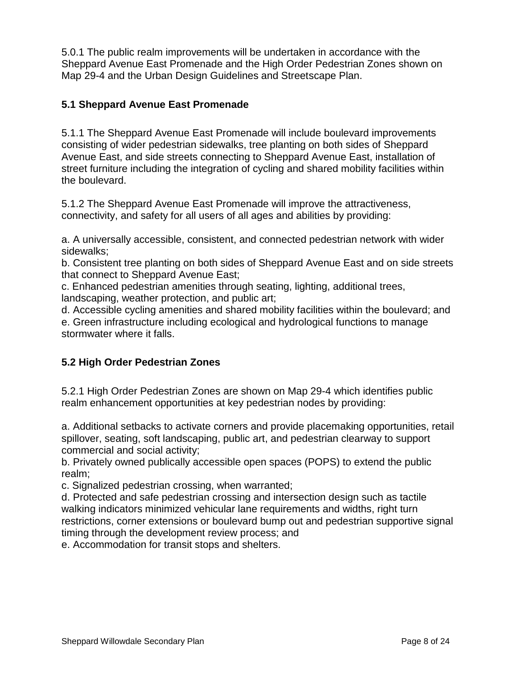5.0.1 The public realm improvements will be undertaken in accordance with the Sheppard Avenue East Promenade and the High Order Pedestrian Zones shown on Map 29-4 and the Urban Design Guidelines and Streetscape Plan.

### **5.1 Sheppard Avenue East Promenade**

5.1.1 The Sheppard Avenue East Promenade will include boulevard improvements consisting of wider pedestrian sidewalks, tree planting on both sides of Sheppard Avenue East, and side streets connecting to Sheppard Avenue East, installation of street furniture including the integration of cycling and shared mobility facilities within the boulevard.

5.1.2 The Sheppard Avenue East Promenade will improve the attractiveness, connectivity, and safety for all users of all ages and abilities by providing:

a. A universally accessible, consistent, and connected pedestrian network with wider sidewalks;

b. Consistent tree planting on both sides of Sheppard Avenue East and on side streets that connect to Sheppard Avenue East;

c. Enhanced pedestrian amenities through seating, lighting, additional trees, landscaping, weather protection, and public art;

d. Accessible cycling amenities and shared mobility facilities within the boulevard; and e. Green infrastructure including ecological and hydrological functions to manage stormwater where it falls.

# **5.2 High Order Pedestrian Zones**

5.2.1 High Order Pedestrian Zones are shown on Map 29-4 which identifies public realm enhancement opportunities at key pedestrian nodes by providing:

a. Additional setbacks to activate corners and provide placemaking opportunities, retail spillover, seating, soft landscaping, public art, and pedestrian clearway to support commercial and social activity;

b. Privately owned publically accessible open spaces (POPS) to extend the public realm;

c. Signalized pedestrian crossing, when warranted;

d. Protected and safe pedestrian crossing and intersection design such as tactile walking indicators minimized vehicular lane requirements and widths, right turn restrictions, corner extensions or boulevard bump out and pedestrian supportive signal timing through the development review process; and

e. Accommodation for transit stops and shelters.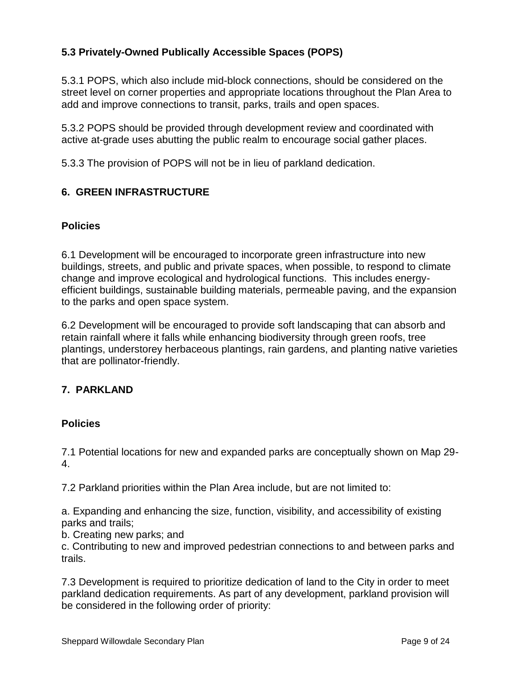# **5.3 Privately-Owned Publically Accessible Spaces (POPS)**

5.3.1 POPS, which also include mid-block connections, should be considered on the street level on corner properties and appropriate locations throughout the Plan Area to add and improve connections to transit, parks, trails and open spaces.

5.3.2 POPS should be provided through development review and coordinated with active at-grade uses abutting the public realm to encourage social gather places.

5.3.3 The provision of POPS will not be in lieu of parkland dedication.

### **6. GREEN INFRASTRUCTURE**

#### **Policies**

6.1 Development will be encouraged to incorporate green infrastructure into new buildings, streets, and public and private spaces, when possible, to respond to climate change and improve ecological and hydrological functions. This includes energyefficient buildings, sustainable building materials, permeable paving, and the expansion to the parks and open space system.

6.2 Development will be encouraged to provide soft landscaping that can absorb and retain rainfall where it falls while enhancing biodiversity through green roofs, tree plantings, understorey herbaceous plantings, rain gardens, and planting native varieties that are pollinator-friendly.

#### **7. PARKLAND**

#### **Policies**

7.1 Potential locations for new and expanded parks are conceptually shown on Map 29- 4.

7.2 Parkland priorities within the Plan Area include, but are not limited to:

a. Expanding and enhancing the size, function, visibility, and accessibility of existing parks and trails;

b. Creating new parks; and

c. Contributing to new and improved pedestrian connections to and between parks and trails.

7.3 Development is required to prioritize dedication of land to the City in order to meet parkland dedication requirements. As part of any development, parkland provision will be considered in the following order of priority: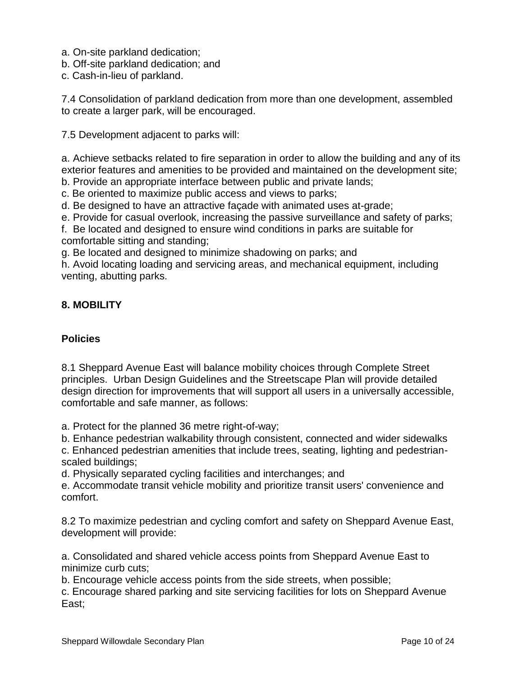- a. On-site parkland dedication;
- b. Off-site parkland dedication; and
- c. Cash-in-lieu of parkland.

7.4 Consolidation of parkland dedication from more than one development, assembled to create a larger park, will be encouraged.

7.5 Development adjacent to parks will:

a. Achieve setbacks related to fire separation in order to allow the building and any of its exterior features and amenities to be provided and maintained on the development site; b. Provide an appropriate interface between public and private lands;

c. Be oriented to maximize public access and views to parks;

d. Be designed to have an attractive façade with animated uses at-grade;

e. Provide for casual overlook, increasing the passive surveillance and safety of parks;

f. Be located and designed to ensure wind conditions in parks are suitable for comfortable sitting and standing;

g. Be located and designed to minimize shadowing on parks; and

h. Avoid locating loading and servicing areas, and mechanical equipment, including venting, abutting parks.

### **8. MOBILITY**

#### **Policies**

8.1 Sheppard Avenue East will balance mobility choices through Complete Street principles. Urban Design Guidelines and the Streetscape Plan will provide detailed design direction for improvements that will support all users in a universally accessible, comfortable and safe manner, as follows:

a. Protect for the planned 36 metre right-of-way;

b. Enhance pedestrian walkability through consistent, connected and wider sidewalks

c. Enhanced pedestrian amenities that include trees, seating, lighting and pedestrianscaled buildings;

d. Physically separated cycling facilities and interchanges; and

e. Accommodate transit vehicle mobility and prioritize transit users' convenience and comfort.

8.2 To maximize pedestrian and cycling comfort and safety on Sheppard Avenue East, development will provide:

a. Consolidated and shared vehicle access points from Sheppard Avenue East to minimize curb cuts;

b. Encourage vehicle access points from the side streets, when possible;

c. Encourage shared parking and site servicing facilities for lots on Sheppard Avenue East;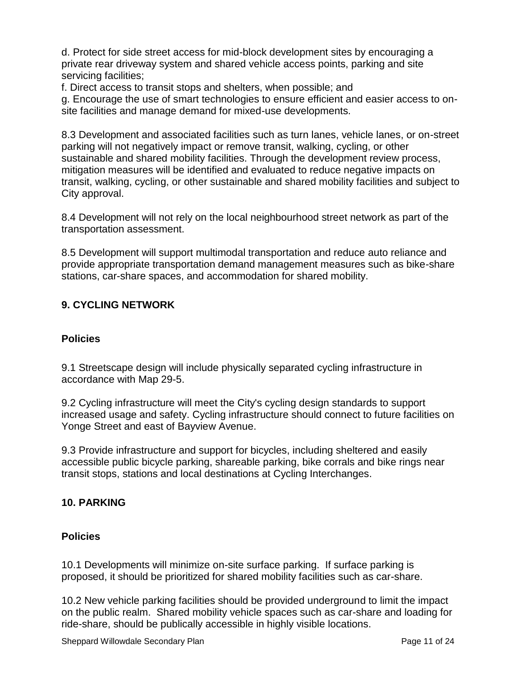d. Protect for side street access for mid-block development sites by encouraging a private rear driveway system and shared vehicle access points, parking and site servicing facilities;

f. Direct access to transit stops and shelters, when possible; and

g. Encourage the use of smart technologies to ensure efficient and easier access to onsite facilities and manage demand for mixed-use developments.

8.3 Development and associated facilities such as turn lanes, vehicle lanes, or on-street parking will not negatively impact or remove transit, walking, cycling, or other sustainable and shared mobility facilities. Through the development review process, mitigation measures will be identified and evaluated to reduce negative impacts on transit, walking, cycling, or other sustainable and shared mobility facilities and subject to City approval.

8.4 Development will not rely on the local neighbourhood street network as part of the transportation assessment.

8.5 Development will support multimodal transportation and reduce auto reliance and provide appropriate transportation demand management measures such as bike-share stations, car-share spaces, and accommodation for shared mobility.

# **9. CYCLING NETWORK**

### **Policies**

9.1 Streetscape design will include physically separated cycling infrastructure in accordance with Map 29-5.

9.2 Cycling infrastructure will meet the City's cycling design standards to support increased usage and safety. Cycling infrastructure should connect to future facilities on Yonge Street and east of Bayview Avenue.

9.3 Provide infrastructure and support for bicycles, including sheltered and easily accessible public bicycle parking, shareable parking, bike corrals and bike rings near transit stops, stations and local destinations at Cycling Interchanges.

# **10. PARKING**

#### **Policies**

10.1 Developments will minimize on-site surface parking. If surface parking is proposed, it should be prioritized for shared mobility facilities such as car-share.

10.2 New vehicle parking facilities should be provided underground to limit the impact on the public realm. Shared mobility vehicle spaces such as car-share and loading for ride-share, should be publically accessible in highly visible locations.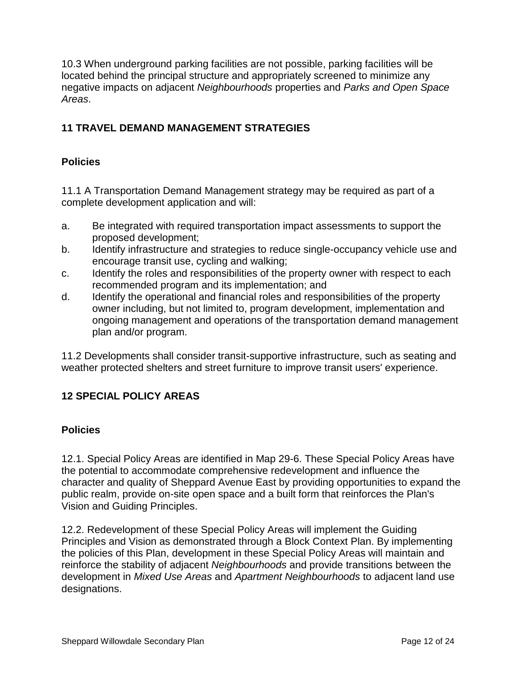10.3 When underground parking facilities are not possible, parking facilities will be located behind the principal structure and appropriately screened to minimize any negative impacts on adjacent *Neighbourhoods* properties and *Parks and Open Space Areas*.

# **11 TRAVEL DEMAND MANAGEMENT STRATEGIES**

### **Policies**

11.1 A Transportation Demand Management strategy may be required as part of a complete development application and will:

- a. Be integrated with required transportation impact assessments to support the proposed development;
- b. Identify infrastructure and strategies to reduce single-occupancy vehicle use and encourage transit use, cycling and walking;
- c. Identify the roles and responsibilities of the property owner with respect to each recommended program and its implementation; and
- d. Identify the operational and financial roles and responsibilities of the property owner including, but not limited to, program development, implementation and ongoing management and operations of the transportation demand management plan and/or program.

11.2 Developments shall consider transit-supportive infrastructure, such as seating and weather protected shelters and street furniture to improve transit users' experience.

# **12 SPECIAL POLICY AREAS**

#### **Policies**

12.1. Special Policy Areas are identified in Map 29-6. These Special Policy Areas have the potential to accommodate comprehensive redevelopment and influence the character and quality of Sheppard Avenue East by providing opportunities to expand the public realm, provide on-site open space and a built form that reinforces the Plan's Vision and Guiding Principles.

12.2. Redevelopment of these Special Policy Areas will implement the Guiding Principles and Vision as demonstrated through a Block Context Plan. By implementing the policies of this Plan, development in these Special Policy Areas will maintain and reinforce the stability of adjacent *Neighbourhoods* and provide transitions between the development in *Mixed Use Areas* and *Apartment Neighbourhoods* to adjacent land use designations.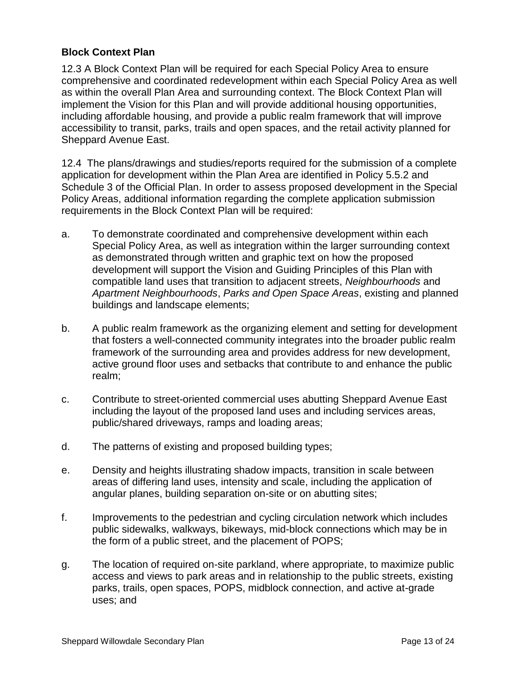#### **Block Context Plan**

12.3 A Block Context Plan will be required for each Special Policy Area to ensure comprehensive and coordinated redevelopment within each Special Policy Area as well as within the overall Plan Area and surrounding context. The Block Context Plan will implement the Vision for this Plan and will provide additional housing opportunities, including affordable housing, and provide a public realm framework that will improve accessibility to transit, parks, trails and open spaces, and the retail activity planned for Sheppard Avenue East.

12.4 The plans/drawings and studies/reports required for the submission of a complete application for development within the Plan Area are identified in Policy 5.5.2 and Schedule 3 of the Official Plan. In order to assess proposed development in the Special Policy Areas, additional information regarding the complete application submission requirements in the Block Context Plan will be required:

- a. To demonstrate coordinated and comprehensive development within each Special Policy Area, as well as integration within the larger surrounding context as demonstrated through written and graphic text on how the proposed development will support the Vision and Guiding Principles of this Plan with compatible land uses that transition to adjacent streets, *Neighbourhoods* and *Apartment Neighbourhoods*, *Parks and Open Space Areas*, existing and planned buildings and landscape elements;
- b. A public realm framework as the organizing element and setting for development that fosters a well-connected community integrates into the broader public realm framework of the surrounding area and provides address for new development, active ground floor uses and setbacks that contribute to and enhance the public realm;
- c. Contribute to street-oriented commercial uses abutting Sheppard Avenue East including the layout of the proposed land uses and including services areas, public/shared driveways, ramps and loading areas;
- d. The patterns of existing and proposed building types;
- e. Density and heights illustrating shadow impacts, transition in scale between areas of differing land uses, intensity and scale, including the application of angular planes, building separation on-site or on abutting sites;
- f. Improvements to the pedestrian and cycling circulation network which includes public sidewalks, walkways, bikeways, mid-block connections which may be in the form of a public street, and the placement of POPS;
- g. The location of required on-site parkland, where appropriate, to maximize public access and views to park areas and in relationship to the public streets, existing parks, trails, open spaces, POPS, midblock connection, and active at-grade uses; and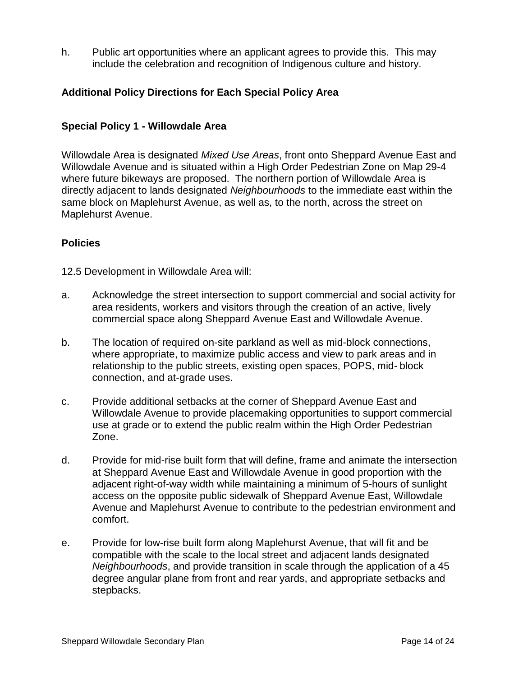h. Public art opportunities where an applicant agrees to provide this. This may include the celebration and recognition of Indigenous culture and history.

#### **Additional Policy Directions for Each Special Policy Area**

#### **Special Policy 1 - Willowdale Area**

Willowdale Area is designated *Mixed Use Areas*, front onto Sheppard Avenue East and Willowdale Avenue and is situated within a High Order Pedestrian Zone on Map 29-4 where future bikeways are proposed. The northern portion of Willowdale Area is directly adjacent to lands designated *Neighbourhoods* to the immediate east within the same block on Maplehurst Avenue, as well as, to the north, across the street on Maplehurst Avenue.

#### **Policies**

12.5 Development in Willowdale Area will:

- a. Acknowledge the street intersection to support commercial and social activity for area residents, workers and visitors through the creation of an active, lively commercial space along Sheppard Avenue East and Willowdale Avenue.
- b. The location of required on-site parkland as well as mid-block connections, where appropriate, to maximize public access and view to park areas and in relationship to the public streets, existing open spaces, POPS, mid- block connection, and at-grade uses.
- c. Provide additional setbacks at the corner of Sheppard Avenue East and Willowdale Avenue to provide placemaking opportunities to support commercial use at grade or to extend the public realm within the High Order Pedestrian Zone.
- d. Provide for mid-rise built form that will define, frame and animate the intersection at Sheppard Avenue East and Willowdale Avenue in good proportion with the adjacent right-of-way width while maintaining a minimum of 5-hours of sunlight access on the opposite public sidewalk of Sheppard Avenue East, Willowdale Avenue and Maplehurst Avenue to contribute to the pedestrian environment and comfort.
- e. Provide for low-rise built form along Maplehurst Avenue, that will fit and be compatible with the scale to the local street and adjacent lands designated *Neighbourhoods*, and provide transition in scale through the application of a 45 degree angular plane from front and rear yards, and appropriate setbacks and stepbacks.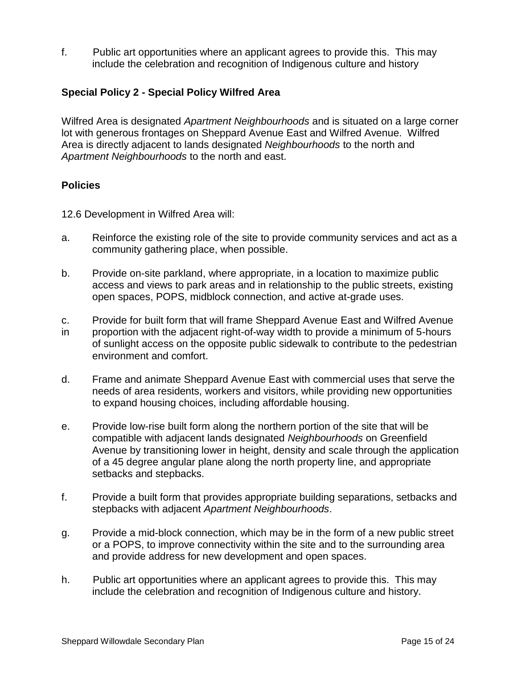f. Public art opportunities where an applicant agrees to provide this. This may include the celebration and recognition of Indigenous culture and history

#### **Special Policy 2 - Special Policy Wilfred Area**

Wilfred Area is designated *Apartment Neighbourhoods* and is situated on a large corner lot with generous frontages on Sheppard Avenue East and Wilfred Avenue. Wilfred Area is directly adjacent to lands designated *Neighbourhoods* to the north and *Apartment Neighbourhoods* to the north and east.

#### **Policies**

- 12.6 Development in Wilfred Area will:
- a. Reinforce the existing role of the site to provide community services and act as a community gathering place, when possible.
- b. Provide on-site parkland, where appropriate, in a location to maximize public access and views to park areas and in relationship to the public streets, existing open spaces, POPS, midblock connection, and active at-grade uses.
- c. Provide for built form that will frame Sheppard Avenue East and Wilfred Avenue
- in proportion with the adjacent right-of-way width to provide a minimum of 5-hours of sunlight access on the opposite public sidewalk to contribute to the pedestrian environment and comfort.
- d. Frame and animate Sheppard Avenue East with commercial uses that serve the needs of area residents, workers and visitors, while providing new opportunities to expand housing choices, including affordable housing.
- e. Provide low-rise built form along the northern portion of the site that will be compatible with adjacent lands designated *Neighbourhoods* on Greenfield Avenue by transitioning lower in height, density and scale through the application of a 45 degree angular plane along the north property line, and appropriate setbacks and stepbacks.
- f. Provide a built form that provides appropriate building separations, setbacks and stepbacks with adjacent *Apartment Neighbourhoods*.
- g. Provide a mid-block connection, which may be in the form of a new public street or a POPS, to improve connectivity within the site and to the surrounding area and provide address for new development and open spaces.
- h. Public art opportunities where an applicant agrees to provide this. This may include the celebration and recognition of Indigenous culture and history.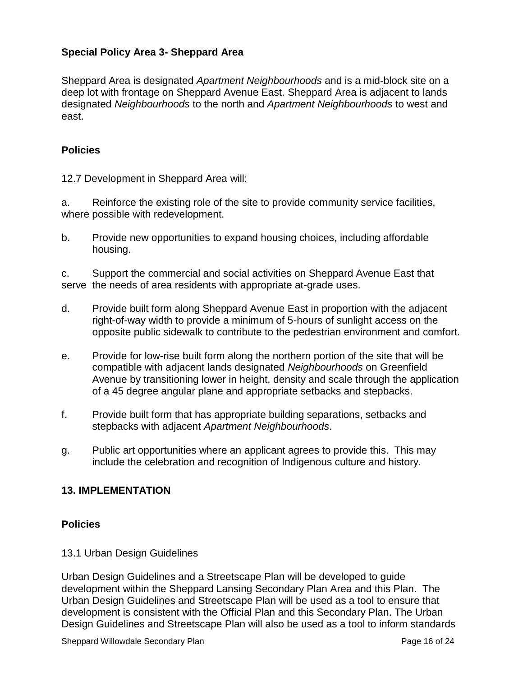### **Special Policy Area 3- Sheppard Area**

Sheppard Area is designated *Apartment Neighbourhoods* and is a mid-block site on a deep lot with frontage on Sheppard Avenue East. Sheppard Area is adjacent to lands designated *Neighbourhoods* to the north and *Apartment Neighbourhoods* to west and east.

#### **Policies**

12.7 Development in Sheppard Area will:

a. Reinforce the existing role of the site to provide community service facilities, where possible with redevelopment.

b. Provide new opportunities to expand housing choices, including affordable housing.

c. Support the commercial and social activities on Sheppard Avenue East that serve the needs of area residents with appropriate at-grade uses.

- d. Provide built form along Sheppard Avenue East in proportion with the adjacent right-of-way width to provide a minimum of 5-hours of sunlight access on the opposite public sidewalk to contribute to the pedestrian environment and comfort.
- e. Provide for low-rise built form along the northern portion of the site that will be compatible with adjacent lands designated *Neighbourhoods* on Greenfield Avenue by transitioning lower in height, density and scale through the application of a 45 degree angular plane and appropriate setbacks and stepbacks.
- f. Provide built form that has appropriate building separations, setbacks and stepbacks with adjacent *Apartment Neighbourhoods*.
- g. Public art opportunities where an applicant agrees to provide this. This may include the celebration and recognition of Indigenous culture and history.

#### **13. IMPLEMENTATION**

#### **Policies**

#### 13.1 Urban Design Guidelines

Urban Design Guidelines and a Streetscape Plan will be developed to guide development within the Sheppard Lansing Secondary Plan Area and this Plan. The Urban Design Guidelines and Streetscape Plan will be used as a tool to ensure that development is consistent with the Official Plan and this Secondary Plan. The Urban Design Guidelines and Streetscape Plan will also be used as a tool to inform standards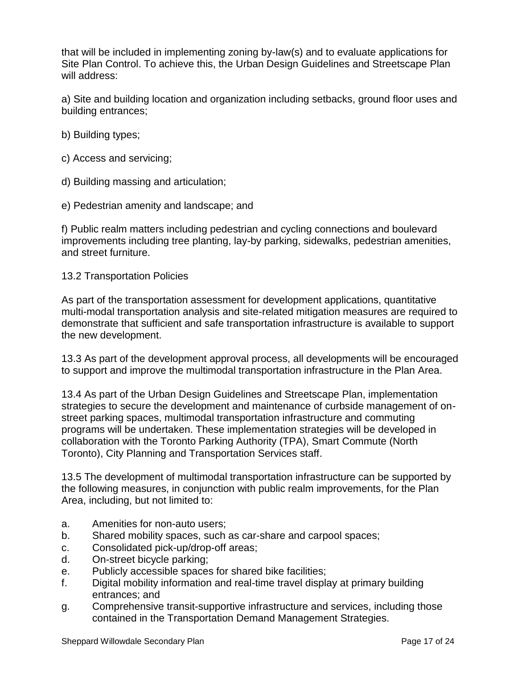that will be included in implementing zoning by-law(s) and to evaluate applications for Site Plan Control. To achieve this, the Urban Design Guidelines and Streetscape Plan will address:

a) Site and building location and organization including setbacks, ground floor uses and building entrances;

- b) Building types;
- c) Access and servicing;
- d) Building massing and articulation;
- e) Pedestrian amenity and landscape; and

f) Public realm matters including pedestrian and cycling connections and boulevard improvements including tree planting, lay-by parking, sidewalks, pedestrian amenities, and street furniture.

#### 13.2 Transportation Policies

As part of the transportation assessment for development applications, quantitative multi-modal transportation analysis and site-related mitigation measures are required to demonstrate that sufficient and safe transportation infrastructure is available to support the new development.

13.3 As part of the development approval process, all developments will be encouraged to support and improve the multimodal transportation infrastructure in the Plan Area.

13.4 As part of the Urban Design Guidelines and Streetscape Plan, implementation strategies to secure the development and maintenance of curbside management of onstreet parking spaces, multimodal transportation infrastructure and commuting programs will be undertaken. These implementation strategies will be developed in collaboration with the Toronto Parking Authority (TPA), Smart Commute (North Toronto), City Planning and Transportation Services staff.

13.5 The development of multimodal transportation infrastructure can be supported by the following measures, in conjunction with public realm improvements, for the Plan Area, including, but not limited to:

- a. Amenities for non-auto users;
- b. Shared mobility spaces, such as car-share and carpool spaces;
- c. Consolidated pick-up/drop-off areas;
- d. On-street bicycle parking;
- e. Publicly accessible spaces for shared bike facilities;
- f. Digital mobility information and real-time travel display at primary building entrances; and
- g. Comprehensive transit-supportive infrastructure and services, including those contained in the Transportation Demand Management Strategies.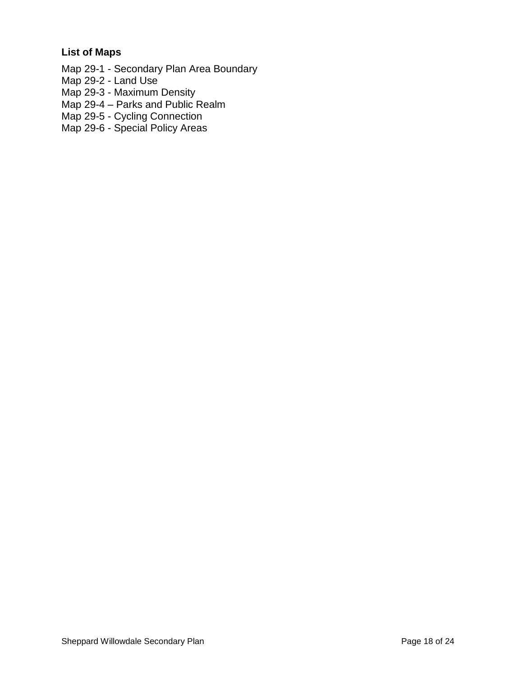# **List of Maps**

Map 29-1 - Secondary Plan Area Boundary

- Map 29-2 Land Use
- Map 29-3 Maximum Density

Map 29-4 – Parks and Public Realm

Map 29-5 - Cycling Connection

Map 29-6 - Special Policy Areas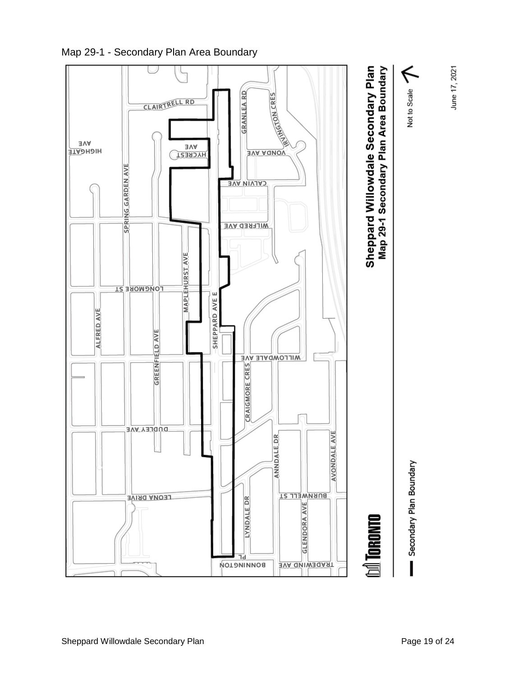

Map 29-1 - Secondary Plan Area Boundary

June 17, 2021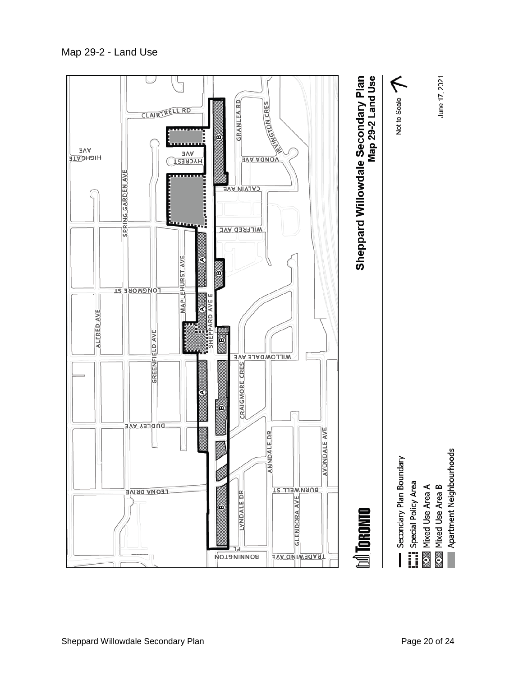





⊗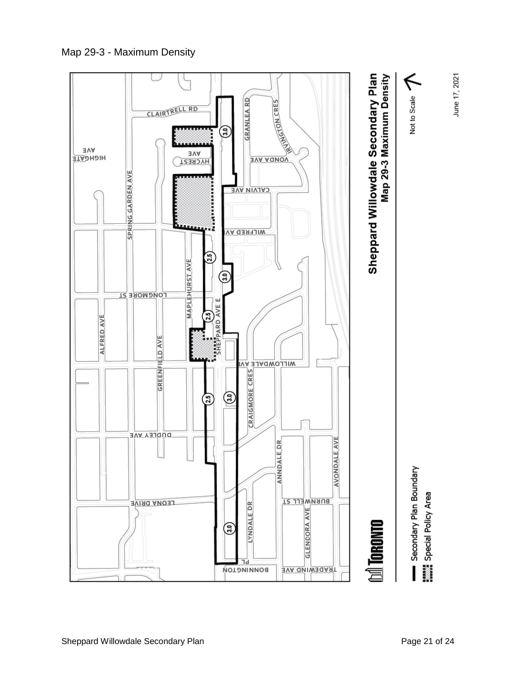Map 29-3 - Maximum Density

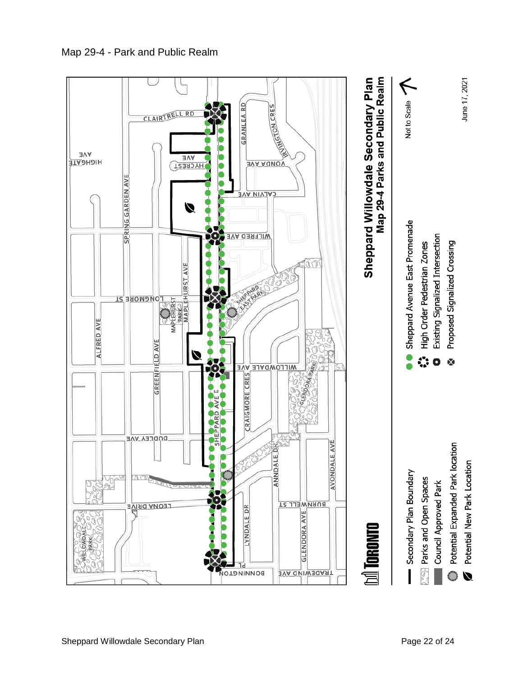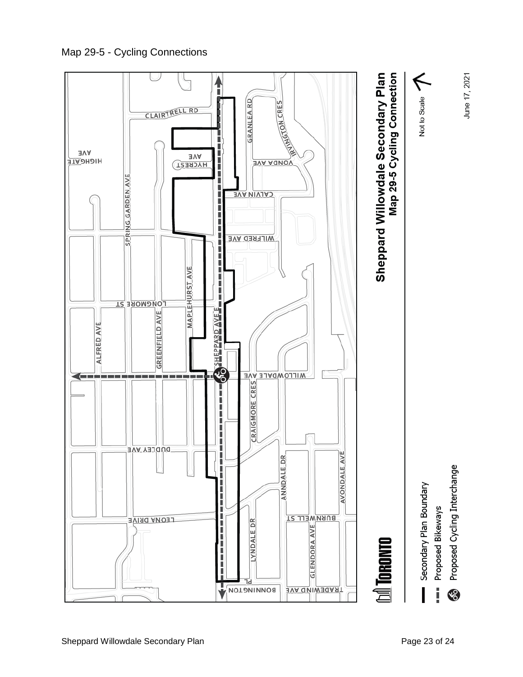Map 29-5 - Cycling Connections